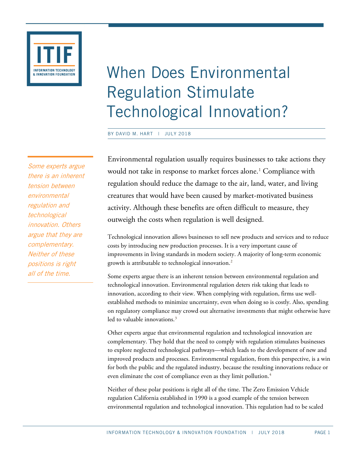

When Does Environmental Regulation Stimulate Technological Innovation?

BY DAVID M. HART | JULY 2018

Environmental regulation usually requires businesses to take actions they would not take in response to market forces alone.<sup>[1](#page-13-0)</sup> Compliance with regulation should reduce the damage to the air, land, water, and living creatures that would have been caused by market-motivated business activity. Although these benefits are often difficult to measure, they outweigh the costs when regulation is well designed.

Technological innovation allows businesses to sell new products and services and to reduce costs by introducing new production processes. It is a very important cause of improvements in living standards in modern society. A majority of long-term economic growth is attributable to technological innovation. $^2$  $^2$ 

Some experts argue there is an inherent tension between environmental regulation and technological innovation. Environmental regulation deters risk taking that leads to innovation, according to their view. When complying with regulation, firms use wellestablished methods to minimize uncertainty, even when doing so is costly. Also, spending on regulatory compliance may crowd out alternative investments that might otherwise have led to valuable innovations. [3](#page-13-2)

Other experts argue that environmental regulation and technological innovation are complementary. They hold that the need to comply with regulation stimulates businesses to explore neglected technological pathways—which leads to the development of new and improved products and processes. Environmental regulation, from this perspective, is a win for both the public and the regulated industry, because the resulting innovations reduce or even eliminate the cost of compliance even as they limit pollution.<sup>[4](#page-13-3)</sup>

Neither of these polar positions is right all of the time. The Zero Emission Vehicle regulation California established in 1990 is a good example of the tension between environmental regulation and technological innovation. This regulation had to be scaled

Some experts argue there is an inherent tension between environmental regulation and technological innovation. Others argue that they are complementary. Neither of these positions is right all of the time.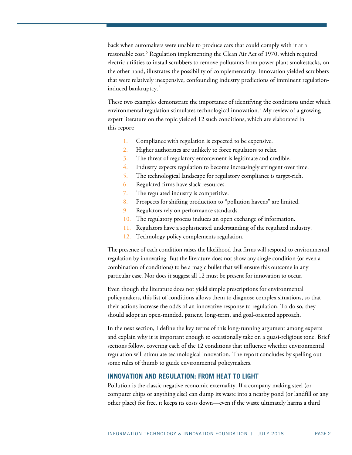back when automakers were unable to produce cars that could comply with it at a reasonable cost.<sup>[5](#page-13-4)</sup> Regulation implementing the Clean Air Act of 1970, which required electric utilities to install scrubbers to remove pollutants from power plant smokestacks, on the other hand, illustrates the possibility of complementarity. Innovation yielded scrubbers that were relatively inexpensive, confounding industry predictions of imminent regulation-induced bankruptcy.<sup>[6](#page-13-5)</sup>

These two examples demonstrate the importance of identifying the conditions under which environmental regulation stimulates technological innovation.[7](#page-13-6) My review of a growing expert literature on the topic yielded 12 such conditions, which are elaborated in this report:

- 1. Compliance with regulation is expected to be expensive.
- 2. Higher authorities are unlikely to force regulators to relax.
- 3. The threat of regulatory enforcement is legitimate and credible.
- 4. Industry expects regulation to become increasingly stringent over time.
- 5. The technological landscape for regulatory compliance is target-rich.
- 6. Regulated firms have slack resources.
- 7. The regulated industry is competitive.
- 8. Prospects for shifting production to "pollution havens" are limited.
- 9. Regulators rely on performance standards.
- 10. The regulatory process induces an open exchange of information.
- 11. Regulators have a sophisticated understanding of the regulated industry.
- 12. Technology policy complements regulation.

The presence of each condition raises the likelihood that firms will respond to environmental regulation by innovating. But the literature does not show any single condition (or even a combination of conditions) to be a magic bullet that will ensure this outcome in any particular case. Nor does it suggest all 12 must be present for innovation to occur.

Even though the literature does not yield simple prescriptions for environmental policymakers, this list of conditions allows them to diagnose complex situations, so that their actions increase the odds of an innovative response to regulation. To do so, they should adopt an open-minded, patient, long-term, and goal-oriented approach.

In the next section, I define the key terms of this long-running argument among experts and explain why it is important enough to occasionally take on a quasi-religious tone. Brief sections follow, covering each of the 12 conditions that influence whether environmental regulation will stimulate technological innovation. The report concludes by spelling out some rules of thumb to guide environmental policymakers.

# **INNOVATION AND REGULATION: FROM HEAT TO LIGHT**

Pollution is the classic negative economic externality. If a company making steel (or computer chips or anything else) can dump its waste into a nearby pond (or landfill or any other place) for free, it keeps its costs down—even if the waste ultimately harms a third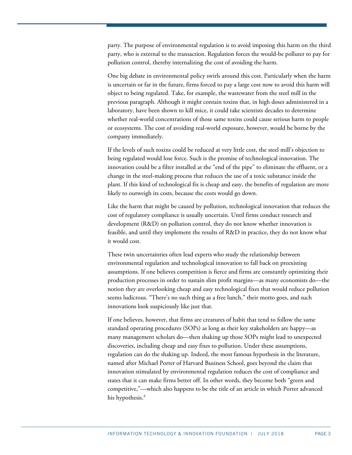party. The purpose of environmental regulation is to avoid imposing this harm on the third party, who is external to the transaction. Regulation forces the would-be polluter to pay for pollution control, thereby internalizing the cost of avoiding the harm.

One big debate in environmental policy swirls around this cost. Particularly when the harm is uncertain or far in the future, firms forced to pay a large cost now to avoid this harm will object to being regulated. Take, for example, the wastewater from the steel mill in the previous paragraph. Although it might contain toxins that, in high doses administered in a laboratory, have been shown to kill mice, it could take scientists decades to determine whether real-world concentrations of those same toxins could cause serious harm to people or ecosystems. The cost of avoiding real-world exposure, however, would be borne by the company immediately.

If the levels of such toxins could be reduced at very little cost, the steel mill's objection to being regulated would lose force. Such is the promise of technological innovation. The innovation could be a filter installed at the "end of the pipe" to eliminate the effluent, or a change in the steel-making process that reduces the use of a toxic substance inside the plant. If this kind of technological fix is cheap and easy, the benefits of regulation are more likely to outweigh its costs, because the costs would go down.

Like the harm that might be caused by pollution, technological innovation that reduces the cost of regulatory compliance is usually uncertain. Until firms conduct research and development (R&D) on pollution control, they do not know whether innovation is feasible, and until they implement the results of R&D in practice, they do not know what it would cost.

These twin uncertainties often lead experts who study the relationship between environmental regulation and technological innovation to fall back on preexisting assumptions. If one believes competition is fierce and firms are constantly optimizing their production processes in order to sustain slim profit margins—as many economists do—the notion they are overlooking cheap and easy technological fixes that would reduce pollution seems ludicrous. "There's no such thing as a free lunch," their motto goes, and such innovations look suspiciously like just that.

If one believes, however, that firms are creatures of habit that tend to follow the same standard operating procedures (SOPs) as long as their key stakeholders are happy—as many management scholars do—then shaking up those SOPs might lead to unexpected discoveries, including cheap and easy fixes to pollution. Under these assumptions, regulation can do the shaking up. Indeed, the most famous hypothesis in the literature, named after Michael Porter of Harvard Business School, goes beyond the claim that innovation stimulated by environmental regulation reduces the cost of compliance and states that it can make firms better off. In other words, they become both "green and competitive,"—which also happens to be the title of an article in which Porter advanced his hypothesis.<sup>[8](#page-13-7)</sup>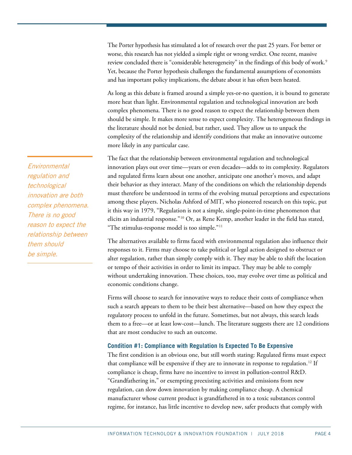The Porter hypothesis has stimulated a lot of research over the past 25 years. For better or worse, this research has not yielded a simple right or wrong verdict. One recent, massive review concluded there is "considerable heterogeneity" in the findings of this body of work.<sup>[9](#page-13-8)</sup> Yet, because the Porter hypothesis challenges the fundamental assumptions of economists and has important policy implications, the debate about it has often been heated.

As long as this debate is framed around a simple yes-or-no question, it is bound to generate more heat than light. Environmental regulation and technological innovation are both complex phenomena. There is no good reason to expect the relationship between them should be simple. It makes more sense to expect complexity. The heterogeneous findings in the literature should not be denied, but rather, used. They allow us to unpack the complexity of the relationship and identify conditions that make an innovative outcome more likely in any particular case.

The fact that the relationship between environmental regulation and technological innovation plays out over time—years or even decades—adds to its complexity. Regulators and regulated firms learn about one another, anticipate one another's moves, and adapt their behavior as they interact. Many of the conditions on which the relationship depends must therefore be understood in terms of the evolving mutual perceptions and expectations among these players. Nicholas Ashford of MIT, who pioneered research on this topic, put it this way in 1979, "Regulation is not a simple, single-point-in-time phenomenon that elicits an industrial response."[10](#page-13-9) Or, as Rene Kemp, another leader in the field has stated, "The stimulus-response model is too simple."[11](#page-13-10)

The alternatives available to firms faced with environmental regulation also influence their responses to it. Firms may choose to take political or legal action designed to obstruct or alter regulation, rather than simply comply with it. They may be able to shift the location or tempo of their activities in order to limit its impact. They may be able to comply without undertaking innovation. These choices, too, may evolve over time as political and economic conditions change.

Firms will choose to search for innovative ways to reduce their costs of compliance when such a search appears to them to be their best alternative—based on how they expect the regulatory process to unfold in the future. Sometimes, but not always, this search leads them to a free—or at least low-cost—lunch. The literature suggests there are 12 conditions that are most conducive to such an outcome.

## **Condition #1: Compliance with Regulation Is Expected To Be Expensive**

The first condition is an obvious one, but still worth stating: Regulated firms must expect that compliance will be expensive if they are to innovate in response to regulation.<sup>[12](#page-13-11)</sup> If compliance is cheap, firms have no incentive to invest in pollution-control R&D. "Grandfathering in," or exempting preexisting activities and emissions from new regulation, can slow down innovation by making compliance cheap. A chemical manufacturer whose current product is grandfathered in to a toxic substances control regime, for instance, has little incentive to develop new, safer products that comply with

Environmental regulation and technological innovation are both complex phenomena. There is no good reason to expect the relationship between them should be simple.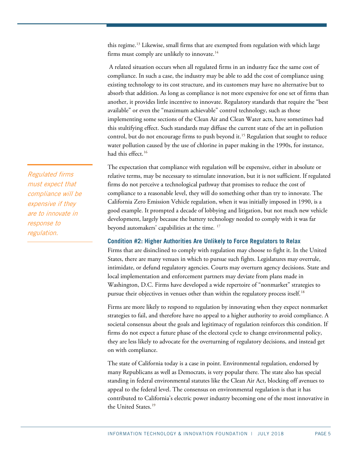this regime.<sup>[13](#page-13-12)</sup> Likewise, small firms that are exempted from regulation with which large firms must comply are unlikely to innovate.<sup>[14](#page-13-13)</sup>

A related situation occurs when all regulated firms in an industry face the same cost of compliance. In such a case, the industry may be able to add the cost of compliance using existing technology to its cost structure, and its customers may have no alternative but to absorb that addition. As long as compliance is not more expensive for one set of firms than another, it provides little incentive to innovate. Regulatory standards that require the "best available" or even the "maximum achievable" control technology, such as those implementing some sections of the Clean Air and Clean Water acts, have sometimes had this stultifying effect. Such standards may diffuse the current state of the art in pollution control, but do not encourage firms to push beyond it.<sup>[15](#page-13-14)</sup> Regulation that sought to reduce water pollution caused by the use of chlorine in paper making in the 1990s, for instance, had this effect.<sup>[16](#page-13-15)</sup>

The expectation that compliance with regulation will be expensive, either in absolute or relative terms, may be necessary to stimulate innovation, but it is not sufficient. If regulated firms do not perceive a technological pathway that promises to reduce the cost of compliance to a reasonable level, they will do something other than try to innovate. The California Zero Emission Vehicle regulation, when it was initially imposed in 1990, is a good example. It prompted a decade of lobbying and litigation, but not much new vehicle development, largely because the battery technology needed to comply with it was far beyond automakers' capabilities at the time.<sup>[17](#page-13-16)</sup>

### **Condition #2: Higher Authorities Are Unlikely to Force Regulators to Relax**

Firms that are disinclined to comply with regulation may choose to fight it. In the United States, there are many venues in which to pursue such fights. Legislatures may overrule, intimidate, or defund regulatory agencies. Courts may overturn agency decisions. State and local implementation and enforcement partners may deviate from plans made in Washington, D.C. Firms have developed a wide repertoire of "nonmarket" strategies to pursue their objectives in venues other than within the regulatory process itself.<sup>[18](#page-14-0)</sup>

Firms are more likely to respond to regulation by innovating when they expect nonmarket strategies to fail, and therefore have no appeal to a higher authority to avoid compliance. A societal consensus about the goals and legitimacy of regulation reinforces this condition. If firms do not expect a future phase of the electoral cycle to change environmental policy, they are less likely to advocate for the overturning of regulatory decisions, and instead get on with compliance.

The state of California today is a case in point. Environmental regulation, endorsed by many Republicans as well as Democrats, is very popular there. The state also has special standing in federal environmental statutes like the Clean Air Act, blocking off avenues to appeal to the federal level. The consensus on environmental regulation is that it has contributed to California's electric power industry becoming one of the most innovative in the United States.<sup>[19](#page-14-1)</sup>

Regulated firms must expect that compliance will be expensive if they are to innovate in response to regulation.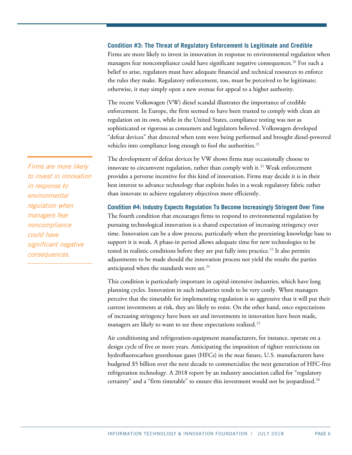### **Condition #3: The Threat of Regulatory Enforcement Is Legitimate and Credible**

Firms are more likely to invest in innovation in response to environmental regulation when managers fear noncompliance could have significant negative consequences.[20](#page-14-2) For such a belief to arise, regulators must have adequate financial and technical resources to enforce the rules they make. Regulatory enforcement, too, must be perceived to be legitimate; otherwise, it may simply open a new avenue for appeal to a higher authority.

The recent Volkswagen (VW) diesel scandal illustrates the importance of credible enforcement. In Europe, the firm seemed to have been trusted to comply with clean air regulation on its own, while in the United States, compliance testing was not as sophisticated or rigorous as consumers and legislators believed. Volkswagen developed "defeat devices" that detected when tests were being performed and brought diesel-powered vehicles into compliance long enough to fool the authorities.<sup>21</sup>

The development of defeat devices by VW shows firms may occasionally choose to innovate to circumvent regulation, rather than comply with it.<sup>[22](#page-14-4)</sup> Weak enforcement provides a perverse incentive for this kind of innovation. Firms may decide it is in their best interest to advance technology that exploits holes in a weak regulatory fabric rather than innovate to achieve regulatory objectives more efficiently.

#### **Condition #4: Industry Expects Regulation To Become Increasingly Stringent Over Time**

The fourth condition that encourages firms to respond to environmental regulation by pursuing technological innovation is a shared expectation of increasing stringency over time. Innovation can be a slow process, particularly when the preexisting knowledge base to support it is weak. A phase-in period allows adequate time for new technologies to be tested in realistic conditions before they are put fully into practice.<sup>[23](#page-14-5)</sup> It also permits adjustments to be made should the innovation process not yield the results the parties anticipated when the standards were set.<sup>[24](#page-14-6)</sup>

This condition is particularly important in capital-intensive industries, which have long planning cycles. Innovation in such industries tends to be very costly. When managers perceive that the timetable for implementing regulation is so aggressive that it will put their current investments at risk, they are likely to resist. On the other hand, once expectations of increasing stringency have been set and investments in innovation have been made, managers are likely to want to see these expectations realized.<sup>[25](#page-14-7)</sup>

Air conditioning and refrigeration-equipment manufacturers, for instance, operate on a design cycle of five or more years. Anticipating the imposition of tighter restrictions on hydrofluorocarbon greenhouse gases (HFCs) in the near future, U.S. manufacturers have budgeted \$5 billion over the next decade to commercialize the next generation of HFC-free refrigeration technology. A 2018 report by an industry association called for "regulatory certainty" and a "firm timetable" to ensure this investment would not be jeopardized.<sup>[26](#page-14-8)</sup>

Firms are more likely to invest in innovation in response to environmental regulation when managers fear noncompliance could have significant negative consequences.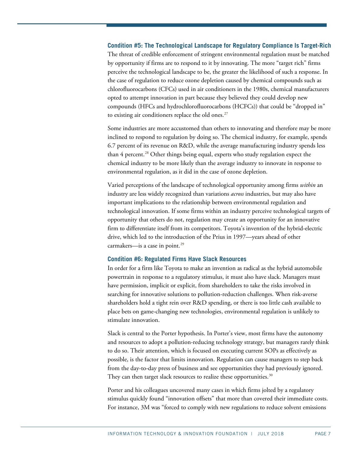#### **Condition #5: The Technological Landscape for Regulatory Compliance Is Target-Rich**

The threat of credible enforcement of stringent environmental regulation must be matched by opportunity if firms are to respond to it by innovating. The more "target rich" firms perceive the technological landscape to be, the greater the likelihood of such a response. In the case of regulation to reduce ozone depletion caused by chemical compounds such as chlorofluorocarbons (CFCs) used in air conditioners in the 1980s, chemical manufacturers opted to attempt innovation in part because they believed they could develop new compounds (HFCs and hydrochlorofluorocarbons (HCFCs)) that could be "dropped in" to existing air conditioners replace the old ones. $27$ 

Some industries are more accustomed than others to innovating and therefore may be more inclined to respond to regulation by doing so. The chemical industry, for example, spends 6.7 percent of its revenue on R&D, while the average manufacturing industry spends less than 4 percent. [28](#page-14-10) Other things being equal, experts who study regulation expect the chemical industry to be more likely than the average industry to innovate in response to environmental regulation, as it did in the case of ozone depletion.

Varied perceptions of the landscape of technological opportunity among firms *within* an industry are less widely recognized than variations *across* industries, but may also have important implications to the relationship between environmental regulation and technological innovation. If some firms within an industry perceive technological targets of opportunity that others do not, regulation may create an opportunity for an innovative firm to differentiate itself from its competitors. Toyota's invention of the hybrid-electric drive, which led to the introduction of the Prius in 1997—years ahead of other carmakers—is a case in point.<sup>[29](#page-14-11)</sup>

#### **Condition #6: Regulated Firms Have Slack Resources**

In order for a firm like Toyota to make an invention as radical as the hybrid automobile powertrain in response to a regulatory stimulus, it must also have slack. Managers must have permission, implicit or explicit, from shareholders to take the risks involved in searching for innovative solutions to pollution-reduction challenges. When risk-averse shareholders hold a tight rein over R&D spending, or there is too little cash available to place bets on game-changing new technologies, environmental regulation is unlikely to stimulate innovation.

Slack is central to the Porter hypothesis. In Porter's view, most firms have the autonomy and resources to adopt a pollution-reducing technology strategy, but managers rarely think to do so. Their attention, which is focused on executing current SOPs as effectively as possible, is the factor that limits innovation. Regulation can cause managers to step back from the day-to-day press of business and see opportunities they had previously ignored. They can then target slack resources to realize these opportunities. $30$ 

Porter and his colleagues uncovered many cases in which firms jolted by a regulatory stimulus quickly found "innovation offsets" that more than covered their immediate costs. For instance, 3M was "forced to comply with new regulations to reduce solvent emissions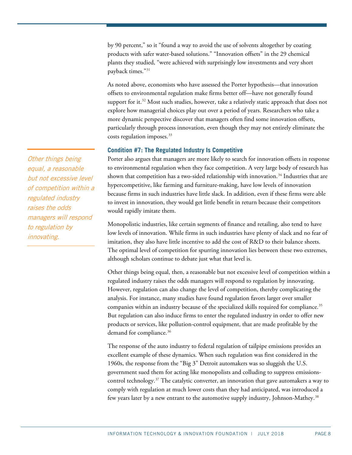by 90 percent," so it "found a way to avoid the use of solvents altogether by coating products with safer water-based solutions." "Innovation offsets" in the 29 chemical plants they studied, "were achieved with surprisingly low investments and very short payback times."[31](#page-14-13)

As noted above, economists who have assessed the Porter hypothesis—that innovation offsets to environmental regulation make firms better off—have not generally found support for it.<sup>[32](#page-14-14)</sup> Most such studies, however, take a relatively static approach that does not explore how managerial choices play out over a period of years. Researchers who take a more dynamic perspective discover that managers often find some innovation offsets, particularly through process innovation, even though they may not entirely eliminate the costs regulation imposes.<sup>[33](#page-14-15)</sup>

## **Condition #7: The Regulated Industry Is Competitive**

Porter also argues that managers are more likely to search for innovation offsets in response to environmental regulation when they face competition. A very large body of research has shown that competition has a two-sided relationship with innovation.<sup>[34](#page-14-16)</sup> Industries that are hypercompetitive, like farming and furniture-making, have low levels of innovation because firms in such industries have little slack. In addition, even if these firms were able to invest in innovation, they would get little benefit in return because their competitors would rapidly imitate them.

Monopolistic industries, like certain segments of finance and retailing, also tend to have low levels of innovation. While firms in such industries have plenty of slack and no fear of imitation, they also have little incentive to add the cost of R&D to their balance sheets. The optimal level of competition for spurring innovation lies between these two extremes, although scholars continue to debate just what that level is.

Other things being equal, then, a reasonable but not excessive level of competition within a regulated industry raises the odds managers will respond to regulation by innovating. However, regulation can also change the level of competition, thereby complicating the analysis. For instance, many studies have found regulation favors larger over smaller companies within an industry because of the specialized skills required for compliance.<sup>[35](#page-15-0)</sup> But regulation can also induce firms to enter the regulated industry in order to offer new products or services, like pollution-control equipment, that are made profitable by the demand for compliance.<sup>[36](#page-15-1)</sup>

The response of the auto industry to federal regulation of tailpipe emissions provides an excellent example of these dynamics. When such regulation was first considered in the 1960s, the response from the "Big 3" Detroit automakers was so sluggish the U.S. government sued them for acting like monopolists and colluding to suppress emissionscontrol technology. $37$  The catalytic converter, an innovation that gave automakers a way to comply with regulation at much lower costs than they had anticipated, was introduced a few years later by a new entrant to the automotive supply industry, Johnson-Mathey.<sup>[38](#page-15-3)</sup>

Other things being equal, a reasonable but not excessive level of competition within a regulated industry raises the odds managers will respond to regulation by innovating.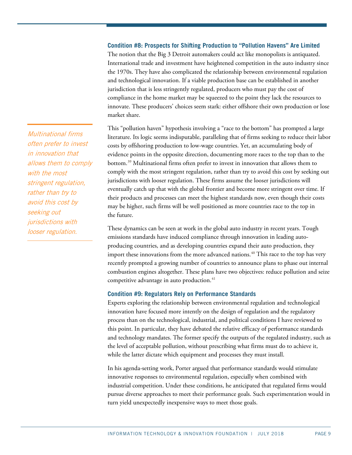## **Condition #8: Prospects for Shifting Production to "Pollution Havens" Are Limited**

The notion that the Big 3 Detroit automakers could act like monopolists is antiquated. International trade and investment have heightened competition in the auto industry since the 1970s. They have also complicated the relationship between environmental regulation and technological innovation. If a viable production base can be established in another jurisdiction that is less stringently regulated, producers who must pay the cost of compliance in the home market may be squeezed to the point they lack the resources to innovate. These producers' choices seem stark: either offshore their own production or lose market share.

This "pollution haven" hypothesis involving a "race to the bottom" has prompted a large literature. Its logic seems indisputable, paralleling that of firms seeking to reduce their labor costs by offshoring production to low-wage countries. Yet, an accumulating body of evidence points in the opposite direction, documenting more races to the top than to the bottom.[39](#page-15-4) Multinational firms often prefer to invest in innovation that allows them to comply with the most stringent regulation, rather than try to avoid this cost by seeking out jurisdictions with looser regulation. These firms assume the looser jurisdictions will eventually catch up that with the global frontier and become more stringent over time. If their products and processes can meet the highest standards now, even though their costs may be higher, such firms will be well positioned as more countries race to the top in the future.

These dynamics can be seen at work in the global auto industry in recent years. Tough emissions standards have induced compliance through innovation in leading autoproducing countries, and as developing countries expand their auto production, they import these innovations from the more advanced nations. [40](#page-15-5) This race to the top has very recently prompted a growing number of countries to announce plans to phase out internal combustion engines altogether. These plans have two objectives: reduce pollution and seize competitive advantage in auto production.<sup>41</sup>

#### **Condition #9: Regulators Rely on Performance Standards**

Experts exploring the relationship between environmental regulation and technological innovation have focused more intently on the design of regulation and the regulatory process than on the technological, industrial, and political conditions I have reviewed to this point. In particular, they have debated the relative efficacy of performance standards and technology mandates. The former specify the outputs of the regulated industry, such as the level of acceptable pollution, without prescribing what firms must do to achieve it, while the latter dictate which equipment and processes they must install.

In his agenda-setting work, Porter argued that performance standards would stimulate innovative responses to environmental regulation, especially when combined with industrial competition. Under these conditions, he anticipated that regulated firms would pursue diverse approaches to meet their performance goals. Such experimentation would in turn yield unexpectedly inexpensive ways to meet those goals.

Multinational firms often prefer to invest in innovation that allows them to comply with the most stringent regulation, rather than try to avoid this cost by seeking out jurisdictions with looser regulation.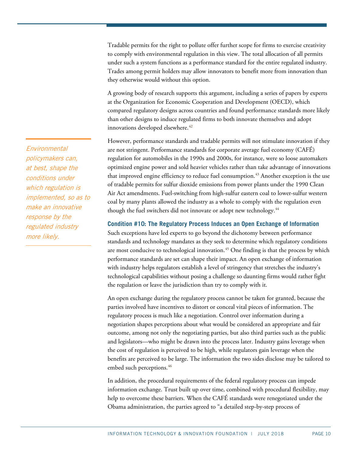Tradable permits for the right to pollute offer further scope for firms to exercise creativity to comply with environmental regulation in this view. The total allocation of all permits under such a system functions as a performance standard for the entire regulated industry. Trades among permit holders may allow innovators to benefit more from innovation than they otherwise would without this option.

A growing body of research supports this argument, including a series of papers by experts at the Organization for Economic Cooperation and Development (OECD), which compared regulatory designs across countries and found performance standards more likely than other designs to induce regulated firms to both innovate themselves and adopt innovations developed elsewhere.<sup>[42](#page-15-7)</sup>

However, performance standards and tradable permits will not stimulate innovation if they are not stringent. Performance standards for corporate average fuel economy (CAFÉ) regulation for automobiles in the 1990s and 2000s, for instance, were so loose automakers optimized engine power and sold heavier vehicles rather than take advantage of innovations that improved engine efficiency to reduce fuel consumption.<sup>43</sup> Another exception is the use of tradable permits for sulfur dioxide emissions from power plants under the 1990 Clean Air Act amendments. Fuel-switching from high-sulfur eastern coal to lower-sulfur western coal by many plants allowed the industry as a whole to comply with the regulation even though the fuel switchers did not innovate or adopt new technology.<sup>[44](#page-15-9)</sup>

### **Condition #10: The Regulatory Process Induces an Open Exchange of Information**

Such exceptions have led experts to go beyond the dichotomy between performance standards and technology mandates as they seek to determine which regulatory conditions are most conducive to technological innovation.<sup>[45](#page-15-10)</sup> One finding is that the process by which performance standards are set can shape their impact. An open exchange of information with industry helps regulators establish a level of stringency that stretches the industry's technological capabilities without posing a challenge so daunting firms would rather fight the regulation or leave the jurisdiction than try to comply with it.

An open exchange during the regulatory process cannot be taken for granted, because the parties involved have incentives to distort or conceal vital pieces of information. The regulatory process is much like a negotiation. Control over information during a negotiation shapes perceptions about what would be considered an appropriate and fair outcome, among not only the negotiating parties, but also third parties such as the public and legislators—who might be drawn into the process later. Industry gains leverage when the cost of regulation is perceived to be high, while regulators gain leverage when the benefits are perceived to be large. The information the two sides disclose may be tailored to embed such perceptions.<sup>46</sup>

In addition, the procedural requirements of the federal regulatory process can impede information exchange. Trust built up over time, combined with procedural flexibility, may help to overcome these barriers. When the CAFÉ standards were renegotiated under the Obama administration, the parties agreed to "a detailed step-by-step process of

Environmental policymakers can, at best, shape the conditions under which regulation is implemented, so as to make an innovative response by the regulated industry more likely.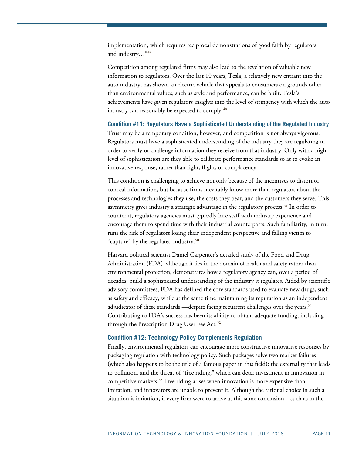implementation, which requires reciprocal demonstrations of good faith by regulators and industry…"[47](#page-15-12)

Competition among regulated firms may also lead to the revelation of valuable new information to regulators. Over the last 10 years, Tesla, a relatively new entrant into the auto industry, has shown an electric vehicle that appeals to consumers on grounds other than environmental values, such as style and performance, can be built. Tesla's achievements have given regulators insights into the level of stringency with which the auto industry can reasonably be expected to comply.<sup>48</sup>

**Condition #11: Regulators Have a Sophisticated Understanding of the Regulated Industry** Trust may be a temporary condition, however, and competition is not always vigorous. Regulators must have a sophisticated understanding of the industry they are regulating in order to verify or challenge information they receive from that industry. Only with a high level of sophistication are they able to calibrate performance standards so as to evoke an innovative response, rather than fight, flight, or complacency.

This condition is challenging to achieve not only because of the incentives to distort or conceal information, but because firms inevitably know more than regulators about the processes and technologies they use, the costs they bear, and the customers they serve. This asymmetry gives industry a strategic advantage in the regulatory process.<sup>[49](#page-15-14)</sup> In order to counter it, regulatory agencies must typically hire staff with industry experience and encourage them to spend time with their industrial counterparts. Such familiarity, in turn, runs the risk of regulators losing their independent perspective and falling victim to "capture" by the regulated industry.<sup>[50](#page-15-15)</sup>

Harvard political scientist Daniel Carpenter's detailed study of the Food and Drug Administration (FDA), although it lies in the domain of health and safety rather than environmental protection, demonstrates how a regulatory agency can, over a period of decades, build a sophisticated understanding of the industry it regulates. Aided by scientific advisory committees, FDA has defined the core standards used to evaluate new drugs, such as safety and efficacy, while at the same time maintaining its reputation as an independent adjudicator of these standards —despite facing recurrent challenges over the years.<sup>[51](#page-15-16)</sup> Contributing to FDA's success has been its ability to obtain adequate funding, including through the Prescription Drug User Fee Act.<sup>[52](#page-15-17)</sup>

## **Condition #12: Technology Policy Complements Regulation**

Finally, environmental regulators can encourage more constructive innovative responses by packaging regulation with technology policy. Such packages solve two market failures (which also happens to be the title of a famous paper in this field): the externality that leads to pollution, and the threat of "free riding," which can deter investment in innovation in competitive markets.<sup>[53](#page-16-0)</sup> Free riding arises when innovation is more expensive than imitation, and innovators are unable to prevent it. Although the rational choice in such a situation is imitation, if every firm were to arrive at this same conclusion—such as in the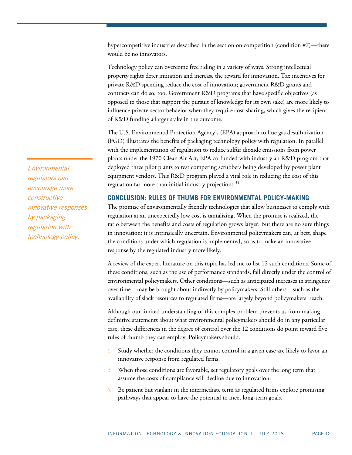hypercompetitive industries described in the section on competition (condition #7)—there would be no innovators.

Technology policy can overcome free riding in a variety of ways. Strong intellectual property rights deter imitation and increase the reward for innovation. Tax incentives for private R&D spending reduce the cost of innovation; government R&D grants and contracts can do so, too. Government R&D programs that have specific objectives (as opposed to those that support the pursuit of knowledge for its own sake) are more likely to influence private-sector behavior when they require cost-sharing, which gives the recipient of R&D funding a larger stake in the outcome.

The U.S. Environmental Protection Agency's (EPA) approach to flue gas desulfurization (FGD) illustrates the benefits of packaging technology policy with regulation. In parallel with the implementation of regulation to reduce sulfur dioxide emissions from power plants under the 1970 Clean Air Act, EPA co-funded with industry an R&D program that deployed three pilot plants to test competing scrubbers being developed by power plant equipment vendors. This R&D program played a vital role in reducing the cost of this regulation far more than initial industry projections.<sup>[54](#page-16-1)</sup>

# **CONCLUSION: RULES OF THUMB FOR ENVIRONMENTAL POLICY-MAKING**

The promise of environmentally friendly technologies that allow businesses to comply with regulation at an unexpectedly low cost is tantalizing. When the promise is realized, the ratio between the benefits and costs of regulation grows larger. But there are no sure things in innovation; it is intrinsically uncertain. Environmental policymakers can, at best, shape the conditions under which regulation is implemented, so as to make an innovative response by the regulated industry more likely.

A review of the expert literature on this topic has led me to list 12 such conditions. Some of these conditions, such as the use of performance standards, fall directly under the control of environmental policymakers. Other conditions—such as anticipated increases in stringency over time—may be brought about indirectly by policymakers. Still others—such as the availability of slack resources to regulated firms—are largely beyond policymakers' reach.

Although our limited understanding of this complex problem prevents us from making definitive statements about what environmental policymakers should do in any particular case, these differences in the degree of control over the 12 conditions do point toward five rules of thumb they can employ. Policymakers should:

- 1. Study whether the conditions they cannot control in a given case are likely to favor an innovative response from regulated firms.
- 2. When those conditions are favorable, set regulatory goals over the long term that assume the costs of compliance will decline due to innovation.
- 3. Be patient but vigilant in the intermediate term as regulated firms explore promising pathways that appear to have the potential to meet long-term goals.

Environmental regulators can encourage more constructive innovative responses by packaging regulation with technology policy.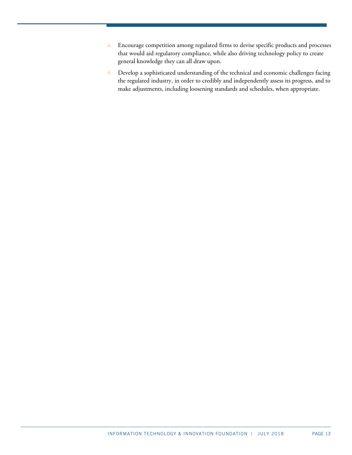- 4. Encourage competition among regulated firms to devise specific products and processes that would aid regulatory compliance, while also driving technology policy to create general knowledge they can all draw upon.
- 5. Develop a sophisticated understanding of the technical and economic challenges facing the regulated industry, in order to credibly and independently assess its progress, and to make adjustments, including loosening standards and schedules, when appropriate.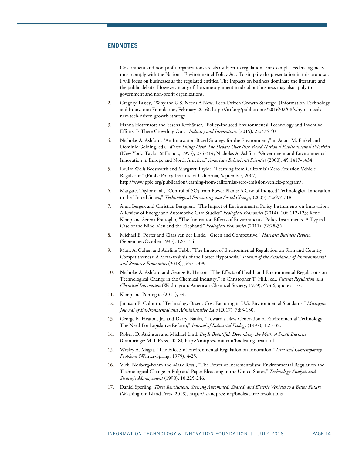## **ENDNOTES**

- <span id="page-13-0"></span>1. Government and non-profit organizations are also subject to regulation. For example, Federal agencies must comply with the National Environmental Policy Act. To simplify the presentation in this proposal, I will focus on businesses as the regulated entities. The impacts on business dominate the literature and the public debate. However, many of the same argument made about business may also apply to government and non-profit organizations.
- <span id="page-13-1"></span>2. Gregory Tassey, "Why the U.S. Needs A New, Tech-Driven Growth Strategy" (Information Technology and Innovation Foundation, February 2016), [https://itif.org/publications/2016/02/08/why-us-needs](https://itif.org/publications/2016/02/08/why-us-needs-new-tech-driven-growth-strategy)[new-tech-driven-growth-strategy.](https://itif.org/publications/2016/02/08/why-us-needs-new-tech-driven-growth-strategy)
- <span id="page-13-2"></span>3. Hanna Hottenrott and Sascha Rexhäuser, "Policy-Induced Environmental Technology and Inventive Efforts: Is There Crowding Out?" *Industry and Innovation,* (2015), 22:375-401.
- <span id="page-13-3"></span>4. Nicholas A. Ashford, "An Innovation-Based Strategy for the Environment," in Adam M. Finkel and Dominic Golding, eds., *Worst Things First? The Debate Over Risk-Based National Environmental Priorities* (New York: Taylor & Francis, 1995), 275-314; Nicholas A. Ashford "Government and Environmental Innovation in Europe and North America," *American Behavioral Scientist* (2000), 45:1417-1434.
- <span id="page-13-4"></span>5. Louise Wells Bedsworth and Margaret Taylor, "Learning from California's Zero Emission Vehicle Regulation" (Public Policy Institute of California, September, 2007, [http://www.ppic.org/publication/learning-from-californias-zero-emission-vehicle-program/.](http://www.ppic.org/publication/learning-from-californias-zero-emission-vehicle-program/)
- <span id="page-13-5"></span>6. Margaret Taylor et al., "Control of SO2 from Power Plants: A Case of Induced Technological Innovation in the United States," *Technological Forecasting and Social Change,* (2005) 72:697-718.
- <span id="page-13-6"></span>7. Anna Bergek and Christian Berggren, "The Impact of Environmental Policy Instruments on Innovation: A Review of Energy and Automotive Case Studies" *Ecological Economics* (2014), 106:112-123; Rene Kemp and Serena Pontoglio, "The Innovation Effects of Environmental Policy Instruments–A Typical Case of the Blind Men and the Elephant?" *Ecological Economics* (2011), 72:28-36.
- <span id="page-13-7"></span>8. Michael E. Porter and Claas van der Linde, "Green and Competitive," *Harvard Business Review*, (September/October 1995), 120-134.
- <span id="page-13-8"></span>9. Mark A. Cohen and Adeline Tubb, "The Impact of Environmental Regulation on Firm and Country Competitiveness: A Meta-analysis of the Porter Hypothesis," *Journal of the Association of Environmental and Resource Economists* (2018), 5:371-399.
- <span id="page-13-9"></span>10. Nicholas A. Ashford and George R. Heaton, "The Effects of Health and Environmental Regulations on Technological Change in the Chemical Industry," in Christopher T. Hill., ed., *Federal Regulation and Chemical Innovation* (Washington: American Chemical Society, 1979), 45-66, quote at 57.
- <span id="page-13-11"></span><span id="page-13-10"></span>11. Kemp and Pontoglio (2011), 34.
- 12. Jamison E. Colburn, "Technology-Based? Cost Factoring in U.S. Environmental Standards," *Michigan Journal of Environmental and Administrative Law* (2017), 7:83-130.
- <span id="page-13-12"></span>13. George R. Heaton, Jr., and Darryl Banks, "Toward a New Generation of Environmental Technology: The Need For Legislative Reform," *Journal of Industrial Ecology* (1997), 1:23-32.
- <span id="page-13-13"></span>14. Robert D. Atkinson and Michael Lind, *Big Is Beautiful: Debunking the Myth of Small Business* (Cambridge: MIT Press, 2018)[, https://mitpress.mit.edu/books/big-beautiful.](https://mitpress.mit.edu/books/big-beautiful)
- <span id="page-13-14"></span>15. Wesley A. Magat, "The Effects of Environmental Regulation on Innovation," *Law and Contemporary Problems* (Winter-Spring, 1979), 4-25.
- <span id="page-13-15"></span>16. Vicki Norberg-Bohm and Mark Rossi, "The Power of Incrementalism: Environmental Regulation and Technological Change in Pulp and Paper Bleaching in the United States," *Technology Analysis and Strategic Management* (1998), 10:225-246.
- <span id="page-13-16"></span>17. Daniel Sperling, *Three Revolutions: Steering Automated, Shared, and Electric Vehicles to a Better Future* (Washington: Island Press, 2018)[, https://islandpress.org/books/three-revolutions.](https://islandpress.org/books/three-revolutions)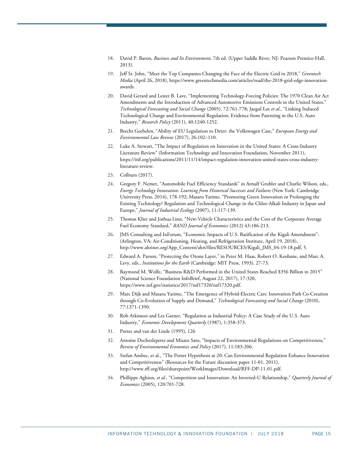- <span id="page-14-0"></span>18. David P. Baron, *Business and Its Environment*, 7th ed. (Upper Saddle River, NJ: Pearson Prentice-Hall, 2013).
- <span id="page-14-1"></span>19. Jeff St. John, "Meet the Top Companies Changing the Face of the Electric Grid in 2018," *Greentech Media* (April 26, 2018)[, https://www.greentechmedia.com/articles/read/the-2018-grid-edge-innovation](https://www.greentechmedia.com/articles/read/the-2018-grid-edge-innovation-awards)[awards.](https://www.greentechmedia.com/articles/read/the-2018-grid-edge-innovation-awards)
- <span id="page-14-2"></span>20. David Gerard and Lester B. Lave, "Implementing Technology-Forcing Policies: The 1970 Clean Air Act Amendments and the Introduction of Advanced Automotive Emissions Controls in the United States." *Technological Forecasting and Social Change* (2005), 72:761-778; Jaegul Lee *et al.*, "Linking Induced Technological Change and Environmental Regulation: Evidence from Patenting in the U.S. Auto Industry," *Research Policy* (2011), 40:1240-1252.
- <span id="page-14-3"></span>21. Brecht Geebelen, "Ability of EU Legislation to Deter: the Volkswagen Case," *European Energy and Environmental Law Review* (2017), 26:102–110.
- <span id="page-14-4"></span>22. Luke A. Stewart, "The Impact of Regulation on Innovation in the United States: A Cross-Industry Literature Review" (Information Technology and Innovation Foundation, November 2011), [https://itif.org/publications/2011/11/14/impact-regulation-innovation-united-states-cross-industry](https://itif.org/publications/2011/11/14/impact-regulation-innovation-united-states-cross-industry-literature-review)[literature-review.](https://itif.org/publications/2011/11/14/impact-regulation-innovation-united-states-cross-industry-literature-review)
- <span id="page-14-6"></span><span id="page-14-5"></span>23. Colburn (2017).
- 24. Gregory F. Nemet, "Automobile Fuel Efficiency Standards" in Arnulf Grubler and Charlie Wilson, eds., *Energy Technology Innovation: Learning from Historical Successes and Failures* (New York: Cambridge University Press, 2014), 178-192; Masaru Yarime, "Promoting Green Innovation or Prolonging the Existing Technology? Regulation and Technological Change in the Chlor-Alkali Industry in Japan and Europe," *Journal of Industrial Ecology* (2007), 11:117-139.
- <span id="page-14-7"></span>25. Thomas Klier and Joshua Linn, "New-Vehicle Characteristics and the Cost of the Corporate Average Fuel Economy Standard," *RAND Journal of Economics* (2012) 43:186-213.
- <span id="page-14-8"></span>26. JMS Consulting and InForum, "Economic Impacts of U.S. Ratification of the Kigali Amendment": (Arlington, VA: Air-Conditioning, Heating, and Refrigeration Institute, April 19, 2018), [http://www.ahrinet.org/App\\_Content/ahri/files/RESOURCES/Kigali\\_JMS\\_04-19-18.pdf,](http://www.ahrinet.org/App_Content/ahri/files/RESOURCES/Kigali_JMS_04-19-18.pdf) 5.
- <span id="page-14-9"></span>27. Edward A. Parson, "Protecting the Ozone Layer," in Peter M. Haas, Robert O. Keohane, and Marc A. Levy, eds., *Institutions for the Earth* (Cambridge: MIT Press, 1993), 27-73.
- <span id="page-14-10"></span>28. Raymond M. Wolfe, "Business R&D Performed in the United States Reached \$356 Billion in 2015" (National Science Foundation InfoBrief, August 22, 2017), 17-320, [https://www.nsf.gov/statistics/2017/nsf17320/nsf17320.pdf.](https://www.nsf.gov/statistics/2017/nsf17320/nsf17320.pdf)
- <span id="page-14-11"></span>29. Marc Dijk and Masaru Yarime, "The Emergence of Hybrid-Electric Cars: Innovation Path Co-Creation through Co-Evolution of Supply and Demand," *Technological Forecasting and Social Change* (2010), 77:1371-1390.
- <span id="page-14-12"></span>30. Rob Atkinson and Les Garner, "Regulation as Industrial Policy: A Case Study of the U.S. Auto Industry," *Economic Development Quarterly* (1987), 1:358-373.
- <span id="page-14-13"></span>31. Porter and van der Linde (1995), 126
- <span id="page-14-14"></span>32. Antoine Dechezlepetre and Misato Sato, "Impacts of Environmental Regulations on Competitiveness," *Review of Environmental Economics and Policy* (2017), 11:183-206.
- <span id="page-14-15"></span>33. Stefan Ambec, et al., "The Porter Hypothesis at 20: Can Environmental Regulation Enhance Innovation and Competitiveness" (Resources for the Future discussion paper 11-01, 2011), [http://www.rff.org/files/sharepoint/WorkImages/Download/RFF-DP-11-01.pdf.](http://www.rff.org/files/sharepoint/WorkImages/Download/RFF-DP-11-01.pdf)
- <span id="page-14-16"></span>34. Phillippe Aghion*, et al.,* "Competition and Innovation: An Inverted-U Relationship," *Quarterly Journal of Economics* (2005), 120:701-728.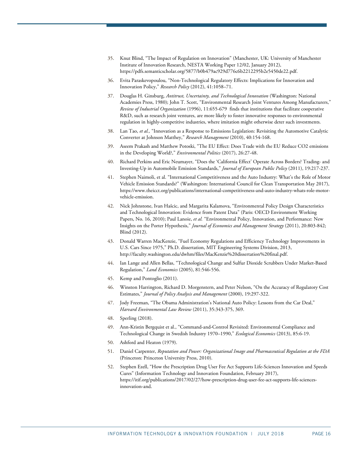- <span id="page-15-0"></span>35. Knut Blind, "The Impact of Regulation on Innovation" (Manchester, UK: University of Manchester Institute of Innovation Research, NESTA Working Paper 12/02, January 2012), [https://pdfs.semanticscholar.org/5877/b0b479ac929d776c6b2212295b2e5450de22.pdf.](https://pdfs.semanticscholar.org/5877/b0b479ac929d776c6b2212295b2e5450de22.pdf)
- <span id="page-15-1"></span>36. Evita Paraskevopoulou, "Non-Technological Regulatory Effects: Implications for Innovation and Innovation Policy," *Research Policy* (2012), 41:1058–71.
- <span id="page-15-2"></span>37. Douglas H. Ginsburg, *Antitrust, Uncertainty, and Technological Innovation* (Washington: National Academies Press, 1980); John T. Scott, "Environmental Research Joint Ventures Among Manufacturers," *Review of Industrial Organization* (1996), 11:655-679 finds that institutions that facilitate cooperative R&D, such as research joint ventures, are more likely to foster innovative responses to environmental regulation in highly-competitive industries, where imitation might otherwise deter such investments.
- <span id="page-15-3"></span>38. Lan Tao, *et al.,* "Innovation as a Response to Emissions Legislation: Revisiting the Automotive Catalytic Converter at Johnson Matthey," *Research Management* (2010), 40:154-168.
- <span id="page-15-4"></span>39. Aseem Prakash and Matthew Potoski, "The EU Effect: Does Trade with the EU Reduce CO2 emissions in the Developing World?," *Environmental Politics* (2017), 26:27-48.
- <span id="page-15-5"></span>40. Richard Perkins and Eric Neumayer, "Does the 'California Effect' Operate Across Borders? Trading- and Investing-Up in Automobile Emission Standards," *Journal of European Public Policy* (2011), 19:217-237.
- <span id="page-15-6"></span>41. Stephen Naimoli, et al. "International Competitiveness and the Auto Industry: What's the Role of Motor Vehicle Emission Standards?" (Washington: International Council for Clean Transportation May 2017), [https://www.theicct.org/publications/international-competitiveness-and-auto-industry-whats-role-motor](https://www.theicct.org/publications/international-competitiveness-and-auto-industry-whats-role-motor-vehicle-emission)[vehicle-emission.](https://www.theicct.org/publications/international-competitiveness-and-auto-industry-whats-role-motor-vehicle-emission)
- <span id="page-15-7"></span>42. Nick Johnstone, Ivan Hašcic, and Margarita Kalamova, "Environmental Policy Design Characteristics and Technological Innovation: Evidence from Patent Data" (Paris: OECD Environment Working Papers, No. 16, 2010); Paul Lanoie, *et al.* "Environmental Policy, Innovation, and Performance: New Insights on the Porter Hypothesis," *Journal of Economics and Management Strategy* (2011), 20:803-842; Blind (2012).
- <span id="page-15-8"></span>43. Donald Warren MacKenzie, "Fuel Economy Regulations and Efficiency Technology Improvements in U.S. Cars Since 1975," Ph.D. dissertation, MIT Engineering Systems Division, 2013, [http://faculty.washington.edu/dwhm/files/MacKenzie%20dissertation%20final.pdf.](http://faculty.washington.edu/dwhm/files/MacKenzie%20dissertation%20final.pdf)
- <span id="page-15-9"></span>44. Ian Lange and Allen Bellas, "Technological Change and Sulfur Dioxide Scrubbers Under Market-Based Regulation," *Land Economics* (2005), 81:546-556.
- <span id="page-15-11"></span><span id="page-15-10"></span>45. Kemp and Pontoglio (2011).
- 46. Winston Harrington, Richard D. Morgenstern, and Peter Nelson, "On the Accuracy of Regulatory Cost Estimates," *Journal of Policy Analysis and Management* (2000), 19:297-322.
- <span id="page-15-12"></span>47. Jody Freeman, "The Obama Administration's National Auto Policy: Lessons from the Car Deal," *Harvard Environmental Law Review* (2011), 35:343-375, 369.
- <span id="page-15-13"></span>48. Sperling (2018).
- <span id="page-15-14"></span>49. Ann-Kristin Bergquist et al., "Command-and-Control Revisited: Environmental Compliance and Technological Change in Swedish Industry 1970–1990," *Ecological Economics* (2013), 85:6-19.
- <span id="page-15-16"></span><span id="page-15-15"></span>50. Ashford and Heaton (1979).
- 51. Daniel Carpenter, *Reputation and Power: Organizational Image and Pharmaceutical Regulation at the FDA* (Princeton: Princeton University Press, 2010).
- <span id="page-15-17"></span>52. Stephen Ezell, "How the Prescription Drug User Fee Act Supports Life-Sciences Innovation and Speeds Cures" (Information Technology and Innovation Foundation, February 2017), [https://itif.org/publications/2017/02/27/how-prescription-drug-user-fee-act-supports-life-sciences](https://itif.org/publications/2017/02/27/how-prescription-drug-user-fee-act-supports-life-sciences-innovation-and)[innovation-and.](https://itif.org/publications/2017/02/27/how-prescription-drug-user-fee-act-supports-life-sciences-innovation-and)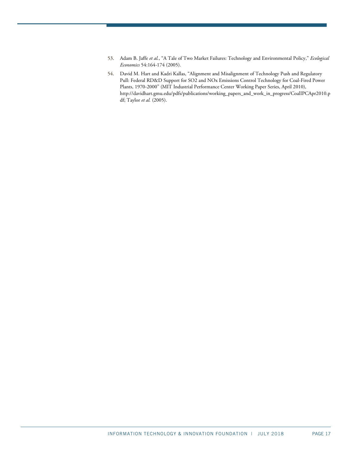- <span id="page-16-0"></span>53. Adam B. Jaffe *et al.*, "A Tale of Two Market Failures: Technology and Environmental Policy," *Ecological Economics* 54:164-174 (2005).
- <span id="page-16-1"></span>54. David M. Hart and Kadri Kallas, "Alignment and Misalignment of Technology Push and Regulatory Pull: Federal RD&D Support for SO2 and NOx Emissions Control Technology for Coal-Fired Power Plants, 1970-2000" (MIT Industrial Performance Center Working Paper Series, April 2010), http://davidhart.gmu.edu/pdfs/publications/working\_papers\_and\_work\_in\_progress/CoalIPCApr2010.p df; Taylor *et al.* (2005).